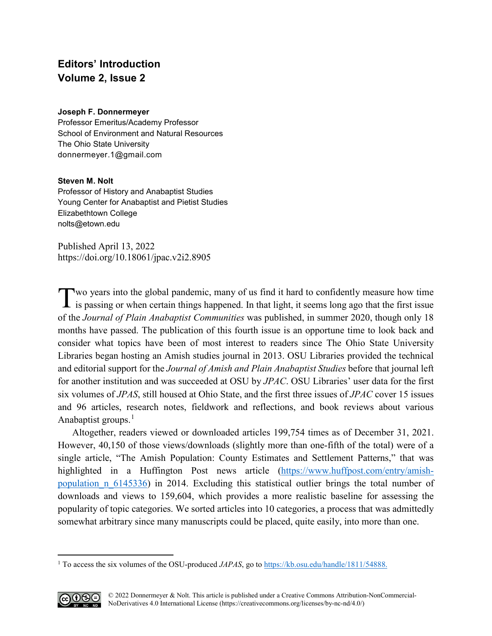## **Editors' Introduction Volume 2, Issue 2**

## **Joseph F. Donnermeyer**

Professor Emeritus/Academy Professor School of Environment and Natural Resources The Ohio State University [donnermeyer.1@gmail.com](mailto:donnermeyer.1@gmail.com)

## **Steven M. Nolt**

Professor of History and Anabaptist Studies Young Center for Anabaptist and Pietist Studies Elizabethtown College [nolts@etown.edu](mailto:nolts@etown.edu)

Published April 13, 2022 <https://doi.org/10.18061/jpac.v2i2.8905>

Two years into the global pandemic, many of us find it hard to confidently measure how time is passing or when certain things happened. In that light, it seems long ago that the first issue **1** is passing or when certain things happened. In that light, it seems long ago that the first issue of the *Journal of Plain Anabaptist Communities* was published, in summer 2020, though only 18 months have passed. The publication of this fourth issue is an opportune time to look back and consider what topics have been of most interest to readers since The Ohio State University Libraries began hosting an Amish studies journal in 2013. OSU Libraries provided the technical and editorial support for the *Journal of Amish and Plain Anabaptist Studies* before that journal left for another institution and was succeeded at OSU by *JPAC*. OSU Libraries' user data for the first six volumes of *JPAS*, still housed at Ohio State, and the first three issues of *JPAC* cover 15 issues and 96 articles, research notes, fieldwork and reflections, and book reviews about various Anabaptist groups.<sup>[1](#page-0-0)</sup>

Altogether, readers viewed or downloaded articles 199,754 times as of December 31, 2021. However, 40,150 of those views/downloads (slightly more than one-fifth of the total) were of a single article, "The Amish Population: County Estimates and Settlement Patterns," that was highlighted in a Huffington Post news article [\(https://www.huffpost.com/entry/amish](https://www.huffpost.com/entry/amish-population_n_6145336)population  $n/6145336$  in 2014. Excluding this statistical outlier brings the total number of downloads and views to 159,604, which provides a more realistic baseline for assessing the popularity of topic categories. We sorted articles into 10 categories, a process that was admittedly somewhat arbitrary since many manuscripts could be placed, quite easily, into more than one.

<span id="page-0-0"></span><sup>&</sup>lt;sup>1</sup> To access the six volumes of the OSU-produced *JAPAS*, go to [https://kb.osu.edu/handle/1811/54888.](https://kb.osu.edu/handle/1811/54888)



 $\overline{a}$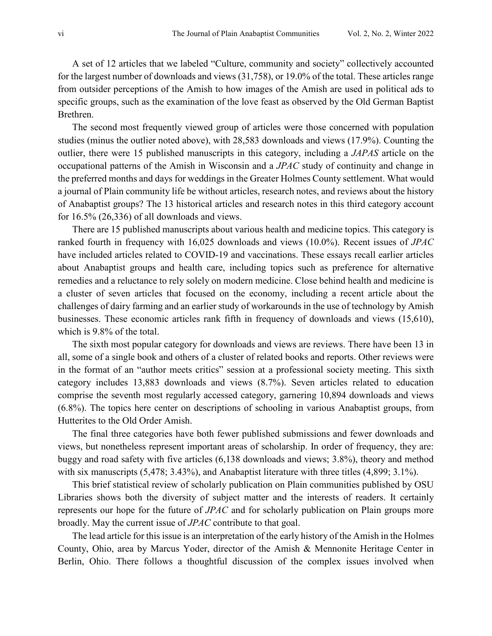A set of 12 articles that we labeled "Culture, community and society" collectively accounted for the largest number of downloads and views (31,758), or 19.0% of the total. These articles range from outsider perceptions of the Amish to how images of the Amish are used in political ads to specific groups, such as the examination of the love feast as observed by the Old German Baptist Brethren.

The second most frequently viewed group of articles were those concerned with population studies (minus the outlier noted above), with 28,583 downloads and views (17.9%). Counting the outlier, there were 15 published manuscripts in this category, including a *JAPAS* article on the occupational patterns of the Amish in Wisconsin and a *JPAC* study of continuity and change in the preferred months and days for weddings in the Greater Holmes County settlement. What would a journal of Plain community life be without articles, research notes, and reviews about the history of Anabaptist groups? The 13 historical articles and research notes in this third category account for  $16.5\%$  (26,336) of all downloads and views.

There are 15 published manuscripts about various health and medicine topics. This category is ranked fourth in frequency with 16,025 downloads and views (10.0%). Recent issues of *JPAC* have included articles related to COVID-19 and vaccinations. These essays recall earlier articles about Anabaptist groups and health care, including topics such as preference for alternative remedies and a reluctance to rely solely on modern medicine. Close behind health and medicine is a cluster of seven articles that focused on the economy, including a recent article about the challenges of dairy farming and an earlier study of workarounds in the use of technology by Amish businesses. These economic articles rank fifth in frequency of downloads and views (15,610), which is 9.8% of the total.

 The sixth most popular category for downloads and views are reviews. There have been 13 in all, some of a single book and others of a cluster of related books and reports. Other reviews were in the format of an "author meets critics" session at a professional society meeting. This sixth category includes 13,883 downloads and views (8.7%). Seven articles related to education comprise the seventh most regularly accessed category, garnering 10,894 downloads and views (6.8%). The topics here center on descriptions of schooling in various Anabaptist groups, from Hutterites to the Old Order Amish.

The final three categories have both fewer published submissions and fewer downloads and views, but nonetheless represent important areas of scholarship. In order of frequency, they are: buggy and road safety with five articles (6,138 downloads and views; 3.8%), theory and method with six manuscripts (5,478; 3.43%), and Anabaptist literature with three titles (4,899; 3.1%).

This brief statistical review of scholarly publication on Plain communities published by OSU Libraries shows both the diversity of subject matter and the interests of readers. It certainly represents our hope for the future of *JPAC* and for scholarly publication on Plain groups more broadly. May the current issue of *JPAC* contribute to that goal.

The lead article for this issue is an interpretation of the early history of the Amish in the Holmes County, Ohio, area by Marcus Yoder, director of the Amish & Mennonite Heritage Center in Berlin, Ohio. There follows a thoughtful discussion of the complex issues involved when